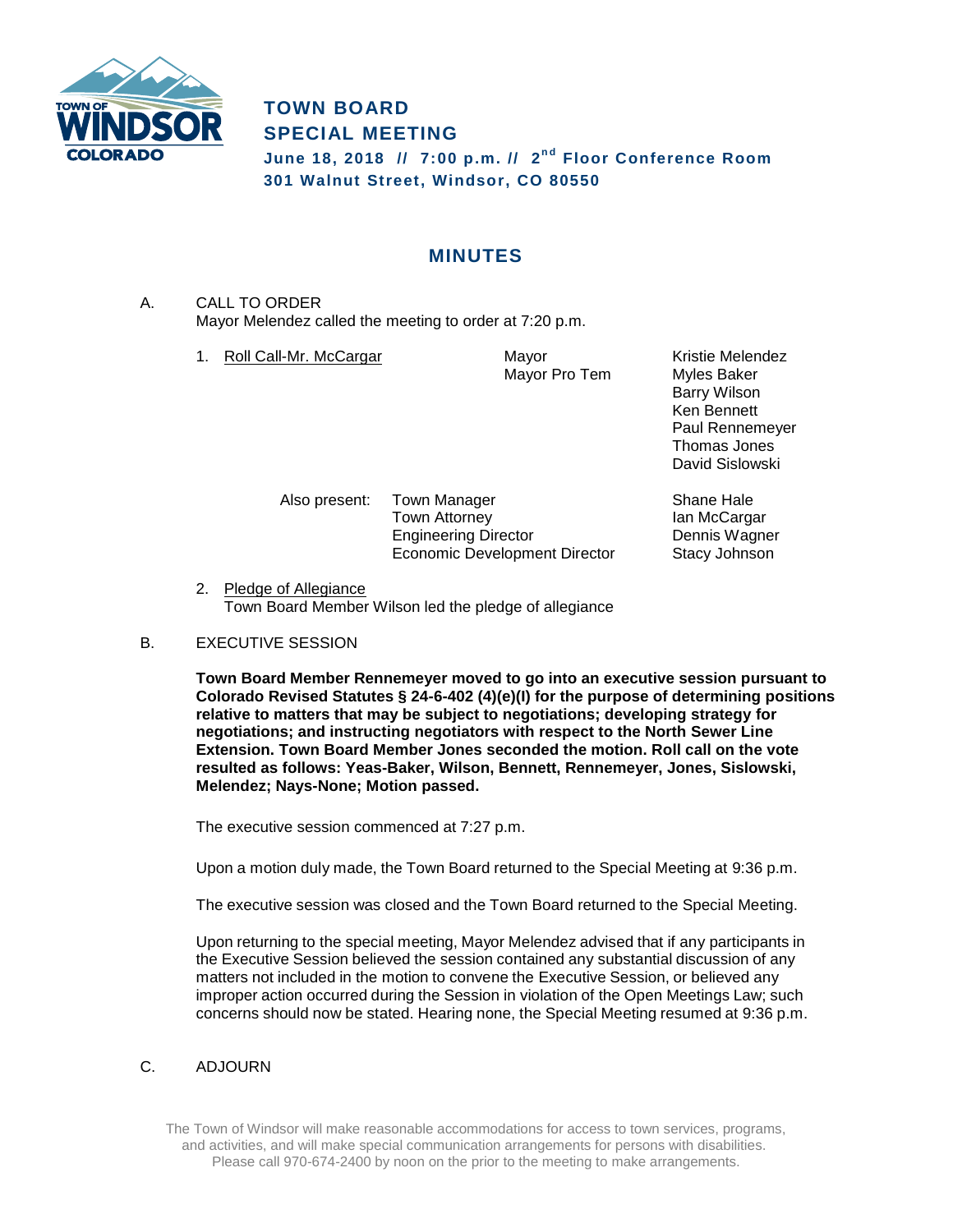

## **TOWN BOARD SPECIAL MEETING**

**June 18, 2018 // 7:00 p.m. // 2 n d Floor Conference Room 301 Walnut Street, Windsor, CO 80550**

## **MINUTES**

A. CALL TO ORDER Mayor Melendez called the meeting to order at 7:20 p.m.

1. Roll Call-Mr. McCargar **Mayor** Mayor Mayor Kristie Melendez

Mayor Pro Tem Myles Baker

Barry Wilson Ken Bennett Paul Rennemeyer Thomas Jones David Sislowski

Also present: Town Manager Shane Hale Town Attorney **Ian McCargar** Engineering Director **Dennis Wagner** Economic Development Director Stacy Johnson

2. Pledge of Allegiance Town Board Member Wilson led the pledge of allegiance

## B. EXECUTIVE SESSION

**Town Board Member Rennemeyer moved to go into an executive session pursuant to Colorado Revised Statutes § 24-6-402 (4)(e)(I) for the purpose of determining positions relative to matters that may be subject to negotiations; developing strategy for negotiations; and instructing negotiators with respect to the North Sewer Line Extension. Town Board Member Jones seconded the motion. Roll call on the vote resulted as follows: Yeas-Baker, Wilson, Bennett, Rennemeyer, Jones, Sislowski, Melendez; Nays-None; Motion passed.**

The executive session commenced at 7:27 p.m.

Upon a motion duly made, the Town Board returned to the Special Meeting at 9:36 p.m.

The executive session was closed and the Town Board returned to the Special Meeting.

Upon returning to the special meeting, Mayor Melendez advised that if any participants in the Executive Session believed the session contained any substantial discussion of any matters not included in the motion to convene the Executive Session, or believed any improper action occurred during the Session in violation of the Open Meetings Law; such concerns should now be stated. Hearing none, the Special Meeting resumed at 9:36 p.m.

## C. ADJOURN

The Town of Windsor will make reasonable accommodations for access to town services, programs, and activities, and will make special communication arrangements for persons with disabilities. Please call 970-674-2400 by noon on the prior to the meeting to make arrangements.